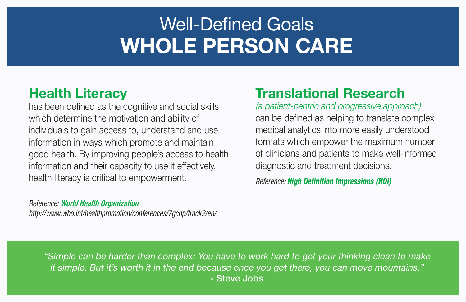## Health Literacy

has been defined as the cognitive and social skills which determine the motivation and ability of individuals to gain access to, understand and use information in ways which promote and maintain good health. By improving people's access to health information and their capacity to use it effectively, health literacy is critical to empowerment.

## *Reference:* World Health Organization

*http://www.who.int/healthpromotion/conferences/7gchp/track2/en/*

# Translational Research

(a patient-centric and progressive approach) can be defined as helping to translate complex medical analytics into more easily understood formats which empower the maximum number of clinicians and patients to make well-informed diagnostic and treatment decisions.

*Reference: High Definition Impressions (HDI)*

# Well-Defined Goals WHOLE PERSON CARE

"Simple can be harder than complex: You have to work hard to get your thinking clean to make it simple. But it's worth it in the end because once you get there, you can move mountains." - Steve Jobs